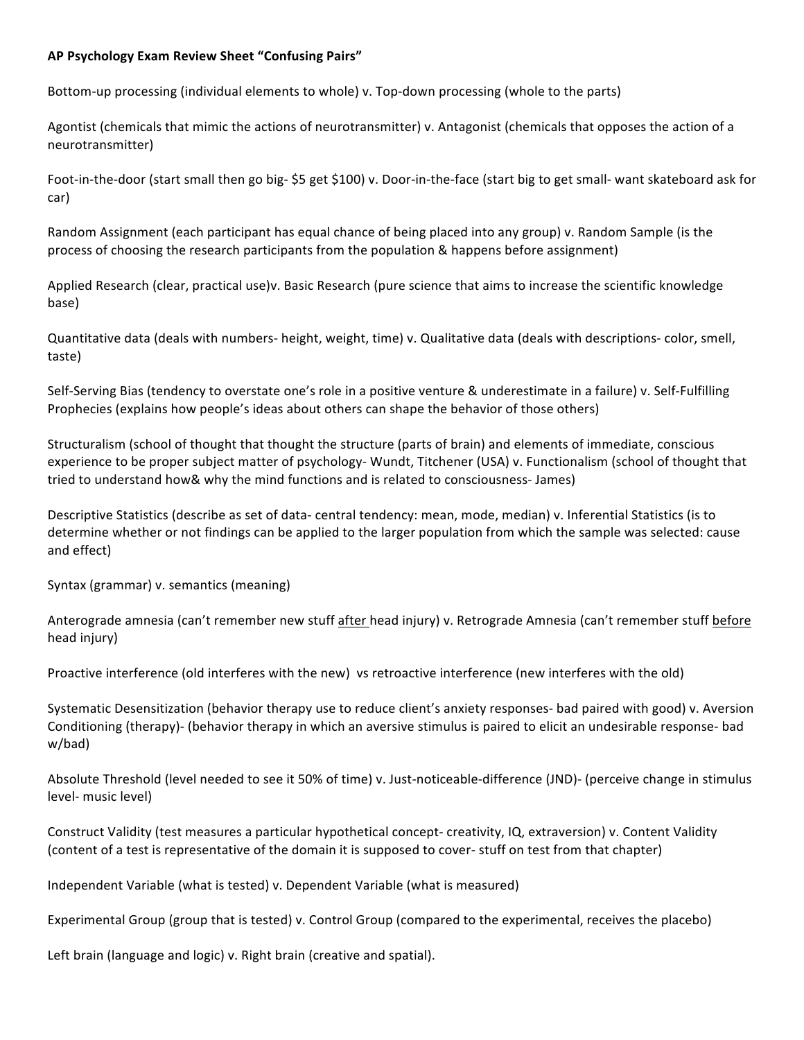## **AP Psychology Exam Review Sheet "Confusing Pairs"**

Bottom-up processing (individual elements to whole) v. Top-down processing (whole to the parts)

Agontist (chemicals that mimic the actions of neurotransmitter) v. Antagonist (chemicals that opposes the action of a neurotransmitter)

Foot-in-the-door (start small then go big- \$5 get \$100) v. Door-in-the-face (start big to get small- want skateboard ask for car)

Random Assignment (each participant has equal chance of being placed into any group) v. Random Sample (is the process of choosing the research participants from the population & happens before assignment)

Applied Research (clear, practical use)v. Basic Research (pure science that aims to increase the scientific knowledge base)

Quantitative data (deals with numbers- height, weight, time) v. Qualitative data (deals with descriptions- color, smell, taste)

Self-Serving Bias (tendency to overstate one's role in a positive venture & underestimate in a failure) v. Self-Fulfilling Prophecies (explains how people's ideas about others can shape the behavior of those others)

Structuralism (school of thought that thought the structure (parts of brain) and elements of immediate, conscious experience to be proper subject matter of psychology- Wundt, Titchener (USA) v. Functionalism (school of thought that tried to understand how& why the mind functions and is related to consciousness- James)

Descriptive Statistics (describe as set of data- central tendency: mean, mode, median) v. Inferential Statistics (is to determine whether or not findings can be applied to the larger population from which the sample was selected: cause and effect)

Syntax (grammar) v. semantics (meaning)

Anterograde amnesia (can't remember new stuff after head injury) v. Retrograde Amnesia (can't remember stuff before head injury)

Proactive interference (old interferes with the new) vs retroactive interference (new interferes with the old)

Systematic Desensitization (behavior therapy use to reduce client's anxiety responses- bad paired with good) v. Aversion Conditioning (therapy)- (behavior therapy in which an aversive stimulus is paired to elicit an undesirable response- bad w/bad)

Absolute Threshold (level needed to see it 50% of time) v. Just-noticeable-difference (JND)- (perceive change in stimulus level- music level)

Construct Validity (test measures a particular hypothetical concept- creativity, IQ, extraversion) v. Content Validity (content of a test is representative of the domain it is supposed to cover- stuff on test from that chapter)

Independent Variable (what is tested) v. Dependent Variable (what is measured)

Experimental Group (group that is tested) v. Control Group (compared to the experimental, receives the placebo)

Left brain (language and logic) v. Right brain (creative and spatial).